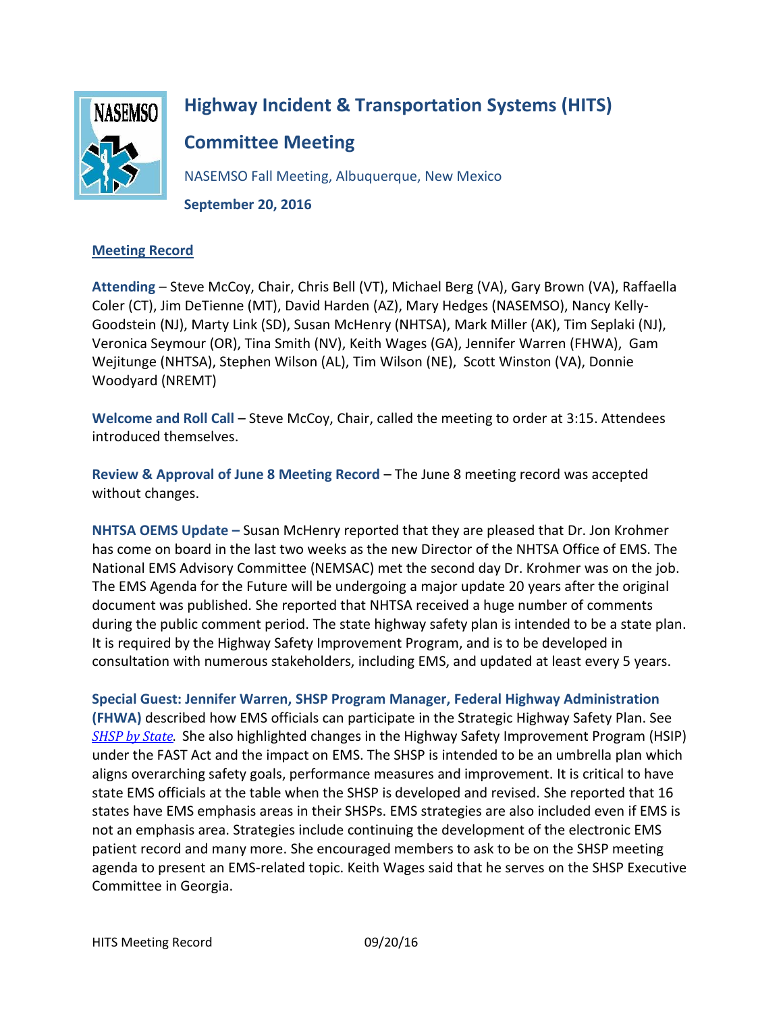

# **Highway Incident & Transportation Systems (HITS)**

**Committee Meeting**

NASEMSO Fall Meeting, Albuquerque, New Mexico **September 20, 2016**

## **Meeting Record**

**Attending** – Steve McCoy, Chair, Chris Bell (VT), Michael Berg (VA), Gary Brown (VA), Raffaella Coler (CT), Jim DeTienne (MT), David Harden (AZ), Mary Hedges (NASEMSO), Nancy Kelly-Goodstein (NJ), Marty Link (SD), Susan McHenry (NHTSA), Mark Miller (AK), Tim Seplaki (NJ), Veronica Seymour (OR), Tina Smith (NV), Keith Wages (GA), Jennifer Warren (FHWA), Gam Wejitunge (NHTSA), Stephen Wilson (AL), Tim Wilson (NE), Scott Winston (VA), Donnie Woodyard (NREMT)

**Welcome and Roll Call** – Steve McCoy, Chair, called the meeting to order at 3:15. Attendees introduced themselves.

**Review & Approval of June 8 Meeting Record** – The June 8 meeting record was accepted without changes.

**NHTSA OEMS Update –** Susan McHenry reported that they are pleased that Dr. Jon Krohmer has come on board in the last two weeks as the new Director of the NHTSA Office of EMS. The National EMS Advisory Committee (NEMSAC) met the second day Dr. Krohmer was on the job. The EMS Agenda for the Future will be undergoing a major update 20 years after the original document was published. She reported that NHTSA received a huge number of comments during the public comment period. The state highway safety plan is intended to be a state plan. It is required by the Highway Safety Improvement Program, and is to be developed in consultation with numerous stakeholders, including EMS, and updated at least every 5 years.

**Special Guest: Jennifer Warren, SHSP Program Manager, Federal Highway Administration (FHWA)** described how EMS officials can participate in the Strategic Highway Safety Plan. See *[SHSP by State](https://rspcb.safety.fhwa.dot.gov/shsp_cop.aspx)*. She also highlighted changes in the Highway Safety Improvement Program (HSIP) under the FAST Act and the impact on EMS. The SHSP is intended to be an umbrella plan which aligns overarching safety goals, performance measures and improvement. It is critical to have state EMS officials at the table when the SHSP is developed and revised. She reported that 16 states have EMS emphasis areas in their SHSPs. EMS strategies are also included even if EMS is not an emphasis area. Strategies include continuing the development of the electronic EMS patient record and many more. She encouraged members to ask to be on the SHSP meeting agenda to present an EMS-related topic. Keith Wages said that he serves on the SHSP Executive Committee in Georgia.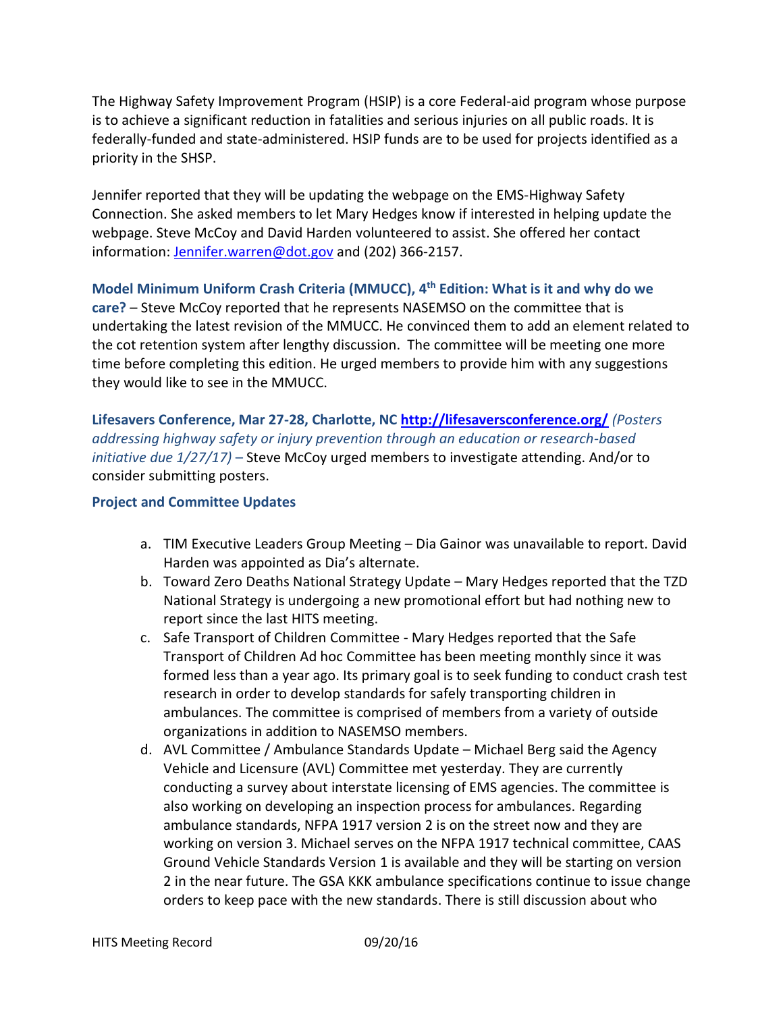The Highway Safety Improvement Program (HSIP) is a core Federal-aid program whose purpose is to achieve a significant reduction in fatalities and serious injuries on all public roads. It is federally-funded and state-administered. HSIP funds are to be used for projects identified as a priority in the SHSP.

Jennifer reported that they will be updating the webpage on the EMS-Highway Safety Connection. She asked members to let Mary Hedges know if interested in helping update the webpage. Steve McCoy and David Harden volunteered to assist. She offered her contact information: [Jennifer.warren@dot.gov](mailto:Jennifer.warren@dot.gov) and (202) 366-2157.

## **Model Minimum Uniform Crash Criteria (MMUCC), 4th Edition: What is it and why do we**

**care?** – Steve McCoy reported that he represents NASEMSO on the committee that is undertaking the latest revision of the MMUCC. He convinced them to add an element related to the cot retention system after lengthy discussion. The committee will be meeting one more time before completing this edition. He urged members to provide him with any suggestions they would like to see in the MMUCC.

**Lifesavers Conference, Mar 27-28, Charlotte, NC<http://lifesaversconference.org/>** *(Posters addressing highway safety or injury prevention through an education or research-based initiative due 1/27/17)* – Steve McCoy urged members to investigate attending. And/or to consider submitting posters.

#### **Project and Committee Updates**

- a. TIM Executive Leaders Group Meeting Dia Gainor was unavailable to report. David Harden was appointed as Dia's alternate.
- b. Toward Zero Deaths National Strategy Update Mary Hedges reported that the TZD National Strategy is undergoing a new promotional effort but had nothing new to report since the last HITS meeting.
- c. Safe Transport of Children Committee Mary Hedges reported that the Safe Transport of Children Ad hoc Committee has been meeting monthly since it was formed less than a year ago. Its primary goal is to seek funding to conduct crash test research in order to develop standards for safely transporting children in ambulances. The committee is comprised of members from a variety of outside organizations in addition to NASEMSO members.
- d. AVL Committee / Ambulance Standards Update Michael Berg said the Agency Vehicle and Licensure (AVL) Committee met yesterday. They are currently conducting a survey about interstate licensing of EMS agencies. The committee is also working on developing an inspection process for ambulances. Regarding ambulance standards, NFPA 1917 version 2 is on the street now and they are working on version 3. Michael serves on the NFPA 1917 technical committee, CAAS Ground Vehicle Standards Version 1 is available and they will be starting on version 2 in the near future. The GSA KKK ambulance specifications continue to issue change orders to keep pace with the new standards. There is still discussion about who